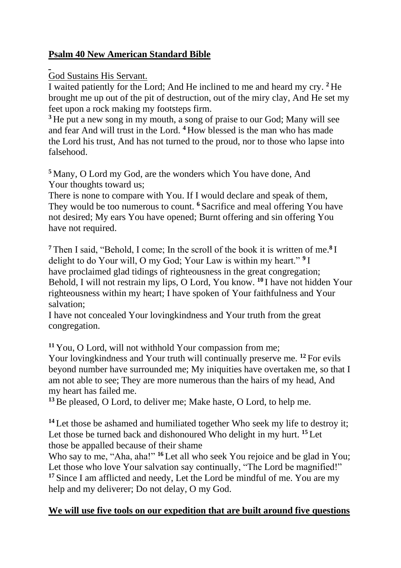## **Psalm 40 New American Standard Bible**

## God Sustains His Servant.

I waited patiently for the Lord; And He inclined to me and heard my cry. **<sup>2</sup>** He brought me up out of the pit of destruction, out of the miry clay, And He set my feet upon a rock making my footsteps firm.

<sup>3</sup> He put a new song in my mouth, a song of praise to our God; Many will see and fear And will trust in the Lord. **<sup>4</sup>** How blessed is the man who has made the Lord his trust, And has not turned to the proud, nor to those who lapse into falsehood.

**<sup>5</sup>** Many, O Lord my God, are the wonders which You have done, And Your thoughts toward us;

There is none to compare with You. If I would declare and speak of them, They would be too numerous to count. **<sup>6</sup>** Sacrifice and meal offering You have not desired; My ears You have opened; Burnt offering and sin offering You have not required.

**<sup>7</sup>** Then I said, "Behold, I come; In the scroll of the book it is written of me.**<sup>8</sup>** I delight to do Your will, O my God; Your Law is within my heart." **<sup>9</sup>** I have proclaimed glad tidings of righteousness in the great congregation; Behold, I will not restrain my lips, O Lord, You know. **<sup>10</sup>** I have not hidden Your righteousness within my heart; I have spoken of Your faithfulness and Your salvation;

I have not concealed Your lovingkindness and Your truth from the great congregation.

**<sup>11</sup>** You, O Lord, will not withhold Your compassion from me;

Your lovingkindness and Your truth will continually preserve me. **<sup>12</sup>** For evils beyond number have surrounded me; My iniquities have overtaken me, so that I am not able to see; They are more numerous than the hairs of my head, And my heart has failed me.

**<sup>13</sup>**Be pleased, O Lord, to deliver me; Make haste, O Lord, to help me.

**<sup>14</sup>** Let those be ashamed and humiliated together Who seek my life to destroy it; Let those be turned back and dishonoured Who delight in my hurt. **<sup>15</sup>** Let those be appalled because of their shame

Who say to me, "Aha, aha!" <sup>16</sup> Let all who seek You rejoice and be glad in You; Let those who love Your salvation say continually, "The Lord be magnified!" **<sup>17</sup>** Since I am afflicted and needy, Let the Lord be mindful of me. You are my help and my deliverer; Do not delay, O my God.

## **We will use five tools on our expedition that are built around five questions**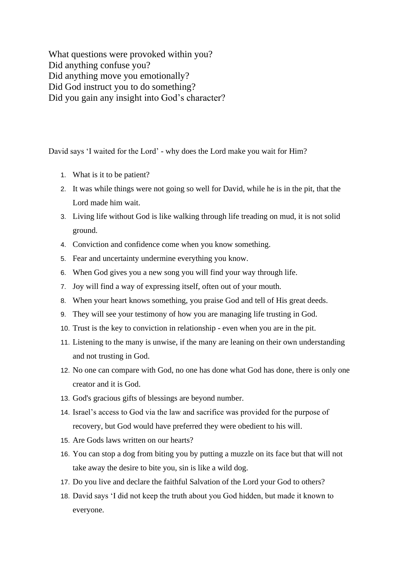What questions were provoked within you? Did anything confuse you? Did anything move you emotionally? Did God instruct you to do something? Did you gain any insight into God's character?

David says 'I waited for the Lord' - why does the Lord make you wait for Him?

- 1. What is it to be patient?
- 2. It was while things were not going so well for David, while he is in the pit, that the Lord made him wait.
- 3. Living life without God is like walking through life treading on mud, it is not solid ground.
- 4. Conviction and confidence come when you know something.
- 5. Fear and uncertainty undermine everything you know.
- 6. When God gives you a new song you will find your way through life.
- 7. Joy will find a way of expressing itself, often out of your mouth.
- 8. When your heart knows something, you praise God and tell of His great deeds.
- 9. They will see your testimony of how you are managing life trusting in God.
- 10. Trust is the key to conviction in relationship even when you are in the pit.
- 11. Listening to the many is unwise, if the many are leaning on their own understanding and not trusting in God.
- 12. No one can compare with God, no one has done what God has done, there is only one creator and it is God.
- 13. God's gracious gifts of blessings are beyond number.
- 14. Israel's access to God via the law and sacrifice was provided for the purpose of recovery, but God would have preferred they were obedient to his will.
- 15. Are Gods laws written on our hearts?
- 16. You can stop a dog from biting you by putting a muzzle on its face but that will not take away the desire to bite you, sin is like a wild dog.
- 17. Do you live and declare the faithful Salvation of the Lord your God to others?
- 18. David says 'I did not keep the truth about you God hidden, but made it known to everyone.